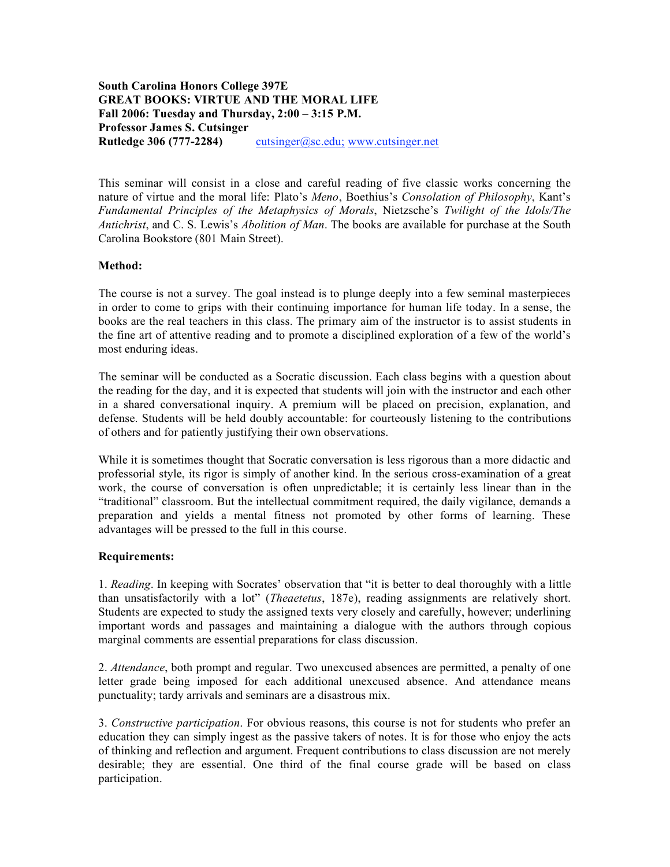## **South Carolina Honors College 397E GREAT BOOKS: VIRTUE AND THE MORAL LIFE Fall 2006: Tuesday and Thursday, 2:00 – 3:15 P.M. Professor James S. Cutsinger Rutledge 306 (777-2284)** cutsinger@sc.edu; www.cutsinger.net

This seminar will consist in a close and careful reading of five classic works concerning the nature of virtue and the moral life: Plato's *Meno*, Boethius's *Consolation of Philosophy*, Kant's *Fundamental Principles of the Metaphysics of Morals*, Nietzsche's *Twilight of the Idols/The Antichrist*, and C. S. Lewis's *Abolition of Man*. The books are available for purchase at the South Carolina Bookstore (801 Main Street).

## **Method:**

The course is not a survey. The goal instead is to plunge deeply into a few seminal masterpieces in order to come to grips with their continuing importance for human life today. In a sense, the books are the real teachers in this class. The primary aim of the instructor is to assist students in the fine art of attentive reading and to promote a disciplined exploration of a few of the world's most enduring ideas.

The seminar will be conducted as a Socratic discussion. Each class begins with a question about the reading for the day, and it is expected that students will join with the instructor and each other in a shared conversational inquiry. A premium will be placed on precision, explanation, and defense. Students will be held doubly accountable: for courteously listening to the contributions of others and for patiently justifying their own observations.

While it is sometimes thought that Socratic conversation is less rigorous than a more didactic and professorial style, its rigor is simply of another kind. In the serious cross-examination of a great work, the course of conversation is often unpredictable; it is certainly less linear than in the "traditional" classroom. But the intellectual commitment required, the daily vigilance, demands a preparation and yields a mental fitness not promoted by other forms of learning. These advantages will be pressed to the full in this course.

## **Requirements:**

1. *Reading*. In keeping with Socrates' observation that "it is better to deal thoroughly with a little than unsatisfactorily with a lot" (*Theaetetus*, 187e), reading assignments are relatively short. Students are expected to study the assigned texts very closely and carefully, however; underlining important words and passages and maintaining a dialogue with the authors through copious marginal comments are essential preparations for class discussion.

2. *Attendance*, both prompt and regular. Two unexcused absences are permitted, a penalty of one letter grade being imposed for each additional unexcused absence. And attendance means punctuality; tardy arrivals and seminars are a disastrous mix.

3. *Constructive participation*. For obvious reasons, this course is not for students who prefer an education they can simply ingest as the passive takers of notes. It is for those who enjoy the acts of thinking and reflection and argument. Frequent contributions to class discussion are not merely desirable; they are essential. One third of the final course grade will be based on class participation.